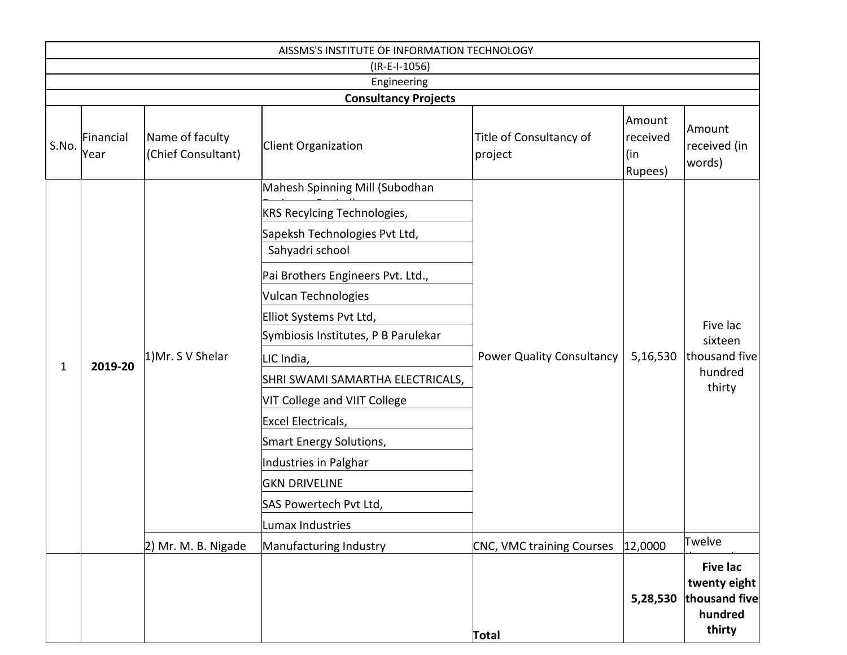| AISSMS'S INSTITUTE OF INFORMATION TECHNOLOGY |                   |                                       |                                                           |                                    |                                      |                                                                       |  |
|----------------------------------------------|-------------------|---------------------------------------|-----------------------------------------------------------|------------------------------------|--------------------------------------|-----------------------------------------------------------------------|--|
| $(IR-E-I-1056)$                              |                   |                                       |                                                           |                                    |                                      |                                                                       |  |
| Engineering                                  |                   |                                       |                                                           |                                    |                                      |                                                                       |  |
| S.No.                                        | Financial<br>Year | Name of faculty<br>(Chief Consultant) | <b>Consultancy Projects</b><br><b>Client Organization</b> | Title of Consultancy of<br>project | Amount<br>received<br>(in<br>Rupees) | Amount<br>received (in<br>words)                                      |  |
|                                              |                   |                                       | Mahesh Spinning Mill (Subodhan                            |                                    |                                      |                                                                       |  |
|                                              |                   |                                       | <b>KRS Recylcing Technologies,</b>                        |                                    |                                      | Five lac<br>sixteen<br>thousand five<br>hundred<br>thirty             |  |
|                                              |                   | 1) Mr. S V Shelar                     | Sapeksh Technologies Pvt Ltd,<br>Sahyadri school          |                                    | 5,16,530                             |                                                                       |  |
|                                              |                   |                                       | Pai Brothers Engineers Pvt. Ltd.,                         | <b>Power Quality Consultancy</b>   |                                      |                                                                       |  |
|                                              |                   |                                       | <b>Vulcan Technologies</b>                                |                                    |                                      |                                                                       |  |
|                                              |                   |                                       | Elliot Systems Pvt Ltd,                                   |                                    |                                      |                                                                       |  |
|                                              | 2019-20           |                                       | Symbiosis Institutes, P B Parulekar                       |                                    |                                      |                                                                       |  |
| 1                                            |                   |                                       | LIC India,                                                |                                    |                                      |                                                                       |  |
|                                              |                   |                                       | SHRI SWAMI SAMARTHA ELECTRICALS,                          |                                    |                                      |                                                                       |  |
|                                              |                   |                                       | VIT College and VIIT College                              |                                    |                                      |                                                                       |  |
|                                              |                   |                                       | Excel Electricals,                                        |                                    |                                      |                                                                       |  |
|                                              |                   |                                       | Smart Energy Solutions,                                   |                                    |                                      |                                                                       |  |
|                                              |                   |                                       | <b>Industries in Palghar</b>                              |                                    |                                      |                                                                       |  |
|                                              |                   |                                       | <b>GKN DRIVELINE</b>                                      |                                    |                                      |                                                                       |  |
|                                              |                   |                                       | SAS Powertech Pvt Ltd,                                    |                                    |                                      |                                                                       |  |
|                                              |                   |                                       | Lumax Industries                                          |                                    |                                      |                                                                       |  |
|                                              |                   | 2) Mr. M. B. Nigade                   | Manufacturing Industry                                    | CNC, VMC training Courses          | 12,0000                              | Twelve                                                                |  |
|                                              |                   |                                       |                                                           | <b>Total</b>                       | 5,28,530                             | <b>Five lac</b><br>twenty eight<br>thousand five<br>hundred<br>thirty |  |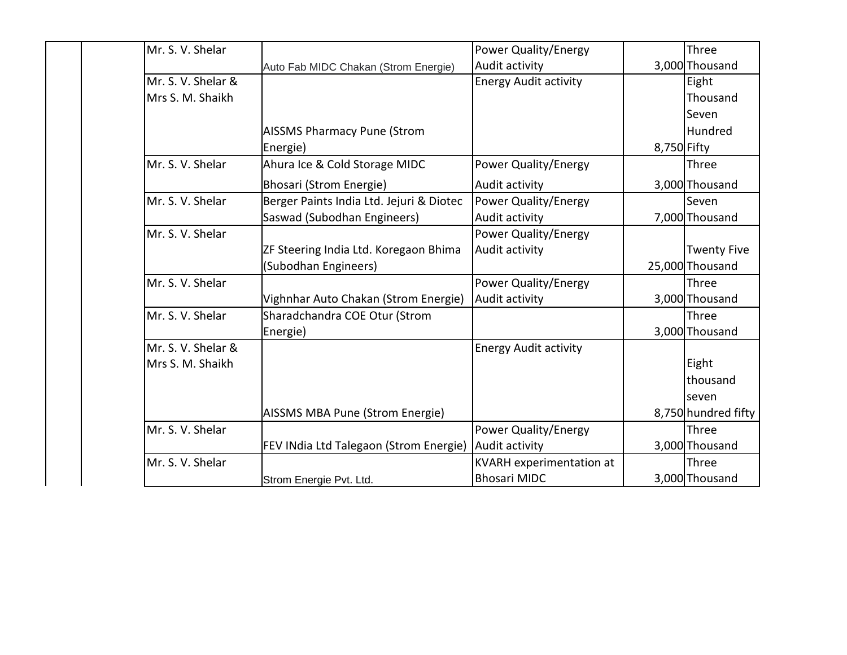| Mr. S. V. Shelar   |                                               | <b>Power Quality/Energy</b>  |             | Three               |
|--------------------|-----------------------------------------------|------------------------------|-------------|---------------------|
|                    | Auto Fab MIDC Chakan (Strom Energie)          | Audit activity               |             | 3,000 Thousand      |
| Mr. S. V. Shelar & |                                               | <b>Energy Audit activity</b> |             | Eight               |
| Mrs S. M. Shaikh   |                                               |                              |             | Thousand            |
|                    |                                               |                              |             | Seven               |
|                    | <b>AISSMS Pharmacy Pune (Strom</b>            |                              |             | Hundred             |
|                    | Energie)                                      |                              | 8,750 Fifty |                     |
| Mr. S. V. Shelar   | Ahura Ice & Cold Storage MIDC                 | Power Quality/Energy         |             | Three               |
|                    | Bhosari (Strom Energie)                       | Audit activity               |             | 3,000 Thousand      |
| Mr. S. V. Shelar   | Berger Paints India Ltd. Jejuri & Diotec      | Power Quality/Energy         |             | Seven               |
|                    | Saswad (Subodhan Engineers)                   | Audit activity               |             | 7,000 Thousand      |
| Mr. S. V. Shelar   |                                               | <b>Power Quality/Energy</b>  |             |                     |
|                    | ZF Steering India Ltd. Koregaon Bhima         | Audit activity               |             | <b>Twenty Five</b>  |
|                    | (Subodhan Engineers)                          |                              |             | 25,000 Thousand     |
| Mr. S. V. Shelar   |                                               | Power Quality/Energy         |             | Three               |
|                    | Vighnhar Auto Chakan (Strom Energie)          | Audit activity               |             | 3,000 Thousand      |
| Mr. S. V. Shelar   | Sharadchandra COE Otur (Strom                 |                              |             | Three               |
|                    | Energie)                                      |                              |             | 3,000 Thousand      |
| Mr. S. V. Shelar & |                                               | <b>Energy Audit activity</b> |             |                     |
| Mrs S. M. Shaikh   |                                               |                              |             | Eight               |
|                    |                                               |                              |             | thousand            |
|                    |                                               |                              |             | seven               |
|                    | AISSMS MBA Pune (Strom Energie)               |                              |             | 8,750 hundred fifty |
| Mr. S. V. Shelar   |                                               | <b>Power Quality/Energy</b>  |             | Three               |
|                    | <b>FEV INdia Ltd Talegaon (Strom Energie)</b> | Audit activity               |             | 3,000 Thousand      |
| Mr. S. V. Shelar   |                                               | KVARH experimentation at     |             | Three               |
|                    | Strom Energie Pvt. Ltd.                       | <b>Bhosari MIDC</b>          |             | 3,000 Thousand      |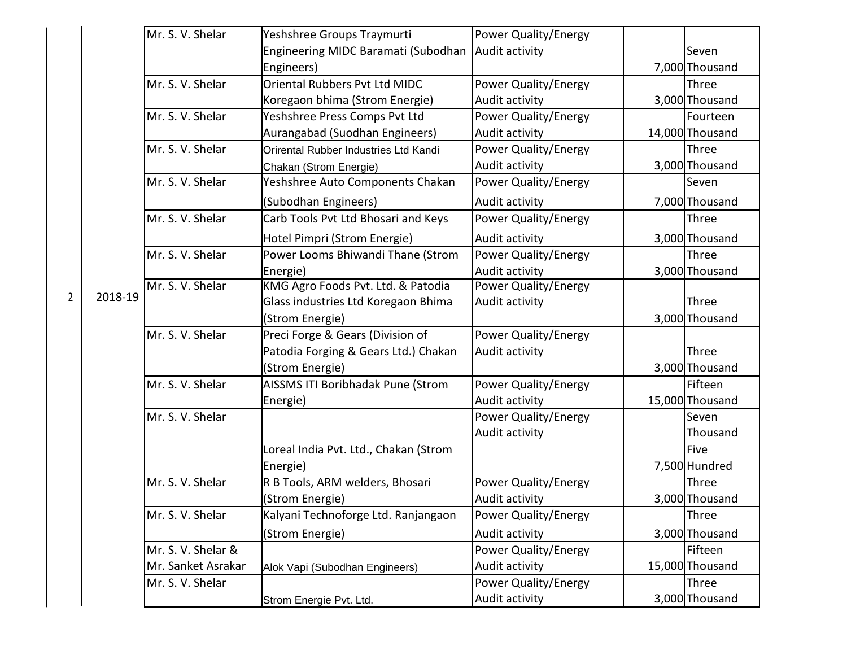|  |                |         | Mr. S. V. Shelar   |                                       |                             |                 |
|--|----------------|---------|--------------------|---------------------------------------|-----------------------------|-----------------|
|  |                |         |                    | Yeshshree Groups Traymurti            | Power Quality/Energy        |                 |
|  |                |         |                    | Engineering MIDC Baramati (Subodhan   | Audit activity              | Seven           |
|  |                |         |                    | Engineers)                            |                             | 7,000 Thousand  |
|  |                |         | Mr. S. V. Shelar   | Oriental Rubbers Pvt Ltd MIDC         | Power Quality/Energy        | Three           |
|  |                |         |                    | Koregaon bhima (Strom Energie)        | Audit activity              | 3,000 Thousand  |
|  |                |         | Mr. S. V. Shelar   | Yeshshree Press Comps Pvt Ltd         | Power Quality/Energy        | Fourteen        |
|  |                |         |                    | Aurangabad (Suodhan Engineers)        | Audit activity              | 14,000 Thousand |
|  |                |         | Mr. S. V. Shelar   | Orirental Rubber Industries Ltd Kandi | <b>Power Quality/Energy</b> | Three           |
|  |                |         |                    | Chakan (Strom Energie)                | Audit activity              | 3,000 Thousand  |
|  |                |         | Mr. S. V. Shelar   | Yeshshree Auto Components Chakan      | Power Quality/Energy        | Seven           |
|  |                |         |                    | (Subodhan Engineers)                  | Audit activity              | 7,000 Thousand  |
|  |                |         | Mr. S. V. Shelar   | Carb Tools Pvt Ltd Bhosari and Keys   | Power Quality/Energy        | Three           |
|  |                |         |                    | Hotel Pimpri (Strom Energie)          | Audit activity              | 3,000 Thousand  |
|  |                |         | Mr. S. V. Shelar   | Power Looms Bhiwandi Thane (Strom     | Power Quality/Energy        | Three           |
|  |                |         |                    | Energie)                              | Audit activity              | 3,000 Thousand  |
|  |                | 2018-19 | Mr. S. V. Shelar   | KMG Agro Foods Pvt. Ltd. & Patodia    | Power Quality/Energy        |                 |
|  | $\overline{2}$ |         |                    | Glass industries Ltd Koregaon Bhima   | Audit activity              | Three           |
|  |                |         |                    | (Strom Energie)                       |                             | 3,000 Thousand  |
|  |                |         | Mr. S. V. Shelar   | Preci Forge & Gears (Division of      | Power Quality/Energy        |                 |
|  |                |         |                    | Patodia Forging & Gears Ltd.) Chakan  | Audit activity              | Three           |
|  |                |         |                    | (Strom Energie)                       |                             | 3,000 Thousand  |
|  |                |         | Mr. S. V. Shelar   | AISSMS ITI Boribhadak Pune (Strom     | Power Quality/Energy        | Fifteen         |
|  |                |         |                    | Energie)                              | Audit activity              | 15,000 Thousand |
|  |                |         | Mr. S. V. Shelar   |                                       | Power Quality/Energy        | Seven           |
|  |                |         |                    |                                       | Audit activity              | Thousand        |
|  |                |         |                    | Loreal India Pvt. Ltd., Chakan (Strom |                             | Five            |
|  |                |         |                    | Energie)                              |                             | 7,500 Hundred   |
|  |                |         | Mr. S. V. Shelar   | R B Tools, ARM welders, Bhosari       | Power Quality/Energy        | Three           |
|  |                |         |                    | (Strom Energie)                       | Audit activity              | 3,000 Thousand  |
|  |                |         | Mr. S. V. Shelar   | Kalyani Technoforge Ltd. Ranjangaon   | Power Quality/Energy        | Three           |
|  |                |         |                    | (Strom Energie)                       | Audit activity              | 3,000 Thousand  |
|  |                |         | Mr. S. V. Shelar & |                                       | Power Quality/Energy        | Fifteen         |
|  |                |         | Mr. Sanket Asrakar | Alok Vapi (Subodhan Engineers)        | Audit activity              | 15,000 Thousand |
|  |                |         | Mr. S. V. Shelar   |                                       | Power Quality/Energy        | Three           |
|  |                |         |                    | Strom Energie Pvt. Ltd.               | Audit activity              | 3,000 Thousand  |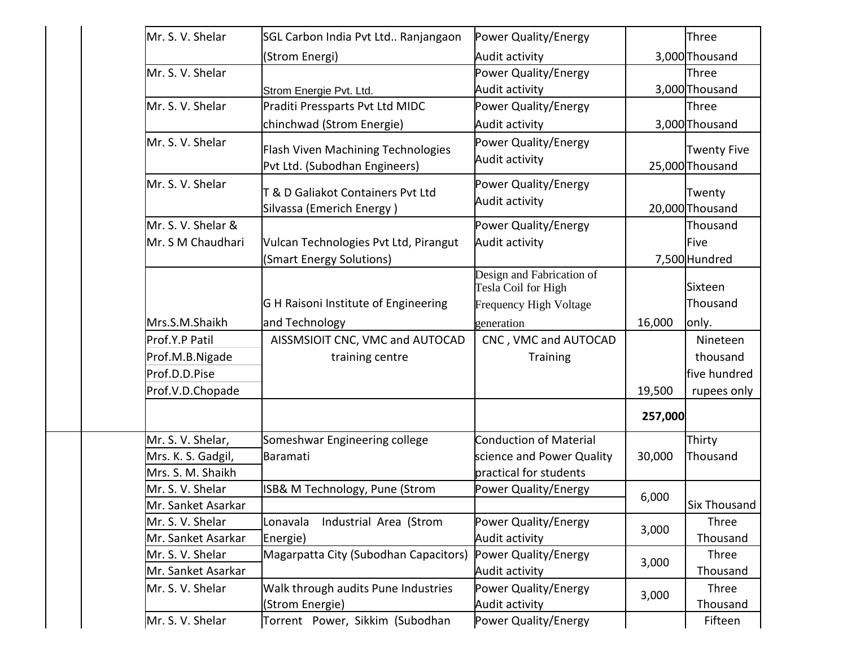| Mr. S. V. Shelar   | SGL Carbon India Pvt Ltd Ranjangaon                                        | Power Quality/Energy                                                              |         | Three                                 |
|--------------------|----------------------------------------------------------------------------|-----------------------------------------------------------------------------------|---------|---------------------------------------|
|                    | (Strom Energi)                                                             | Audit activity                                                                    |         | 3,000 Thousand                        |
| Mr. S. V. Shelar   |                                                                            | Power Quality/Energy                                                              |         | Three                                 |
|                    | Strom Energie Pvt. Ltd.                                                    | Audit activity                                                                    |         | 3,000 Thousand                        |
| Mr. S. V. Shelar   | Praditi Pressparts Pvt Ltd MIDC                                            | Power Quality/Energy                                                              |         | Three                                 |
|                    | chinchwad (Strom Energie)                                                  | Audit activity                                                                    |         | 3,000 Thousand                        |
| Mr. S. V. Shelar   | <b>Flash Viven Machining Technologies</b><br>Pvt Ltd. (Subodhan Engineers) | Power Quality/Energy<br>Audit activity                                            |         | <b>Twenty Five</b><br>25,000 Thousand |
| Mr. S. V. Shelar   | T & D Galiakot Containers Pvt Ltd<br>Silvassa (Emerich Energy)             | Power Quality/Energy<br>Audit activity                                            |         | Twenty<br>20,000 Thousand             |
| Mr. S. V. Shelar & |                                                                            | Power Quality/Energy                                                              |         | Thousand                              |
| Mr. S M Chaudhari  | Vulcan Technologies Pvt Ltd, Pirangut                                      | Audit activity                                                                    |         | Five                                  |
|                    | (Smart Energy Solutions)                                                   |                                                                                   |         | 7,500 Hundred                         |
|                    | G H Raisoni Institute of Engineering                                       | Design and Fabrication of<br>Tesla Coil for High<br><b>Frequency High Voltage</b> |         | Sixteen<br>Thousand                   |
| Mrs.S.M.Shaikh     | and Technology                                                             | generation                                                                        | 16,000  | only.                                 |
| Prof.Y.P Patil     | AISSMSIOIT CNC, VMC and AUTOCAD                                            | CNC, VMC and AUTOCAD                                                              |         | Nineteen                              |
| Prof.M.B.Nigade    | training centre                                                            | <b>Training</b>                                                                   |         | thousand                              |
| Prof.D.D.Pise      |                                                                            |                                                                                   |         | five hundred                          |
| Prof.V.D.Chopade   |                                                                            |                                                                                   | 19,500  | rupees only                           |
|                    |                                                                            |                                                                                   | 257,000 |                                       |
| Mr. S. V. Shelar,  | Someshwar Engineering college                                              | <b>Conduction of Material</b>                                                     |         | Thirty                                |
| Mrs. K. S. Gadgil, | Baramati                                                                   | science and Power Quality                                                         | 30,000  | Thousand                              |
| Mrs. S. M. Shaikh  |                                                                            | practical for students                                                            |         |                                       |
| Mr. S. V. Shelar   | ISB& M Technology, Pune (Strom                                             | Power Quality/Energy                                                              | 6,000   |                                       |
| Mr. Sanket Asarkar |                                                                            |                                                                                   |         | <b>Six Thousand</b>                   |
| Mr. S. V. Shelar   | Industrial Area (Strom<br>Lonavala                                         | Power Quality/Energy                                                              | 3,000   | Three                                 |
| Mr. Sanket Asarkar | Energie)                                                                   | Audit activity                                                                    |         | Thousand                              |
| Mr. S. V. Shelar   | Magarpatta City (Subodhan Capacitors)                                      | Power Quality/Energy                                                              | 3,000   | Three                                 |
| Mr. Sanket Asarkar |                                                                            | Audit activity                                                                    |         | Thousand                              |
| Mr. S. V. Shelar   | Walk through audits Pune Industries<br>(Strom Energie)                     | Power Quality/Energy<br>Audit activity                                            | 3,000   | Three<br>Thousand                     |
| Mr. S. V. Shelar   | Torrent Power, Sikkim (Subodhan                                            | Power Quality/Energy                                                              |         | Fifteen                               |